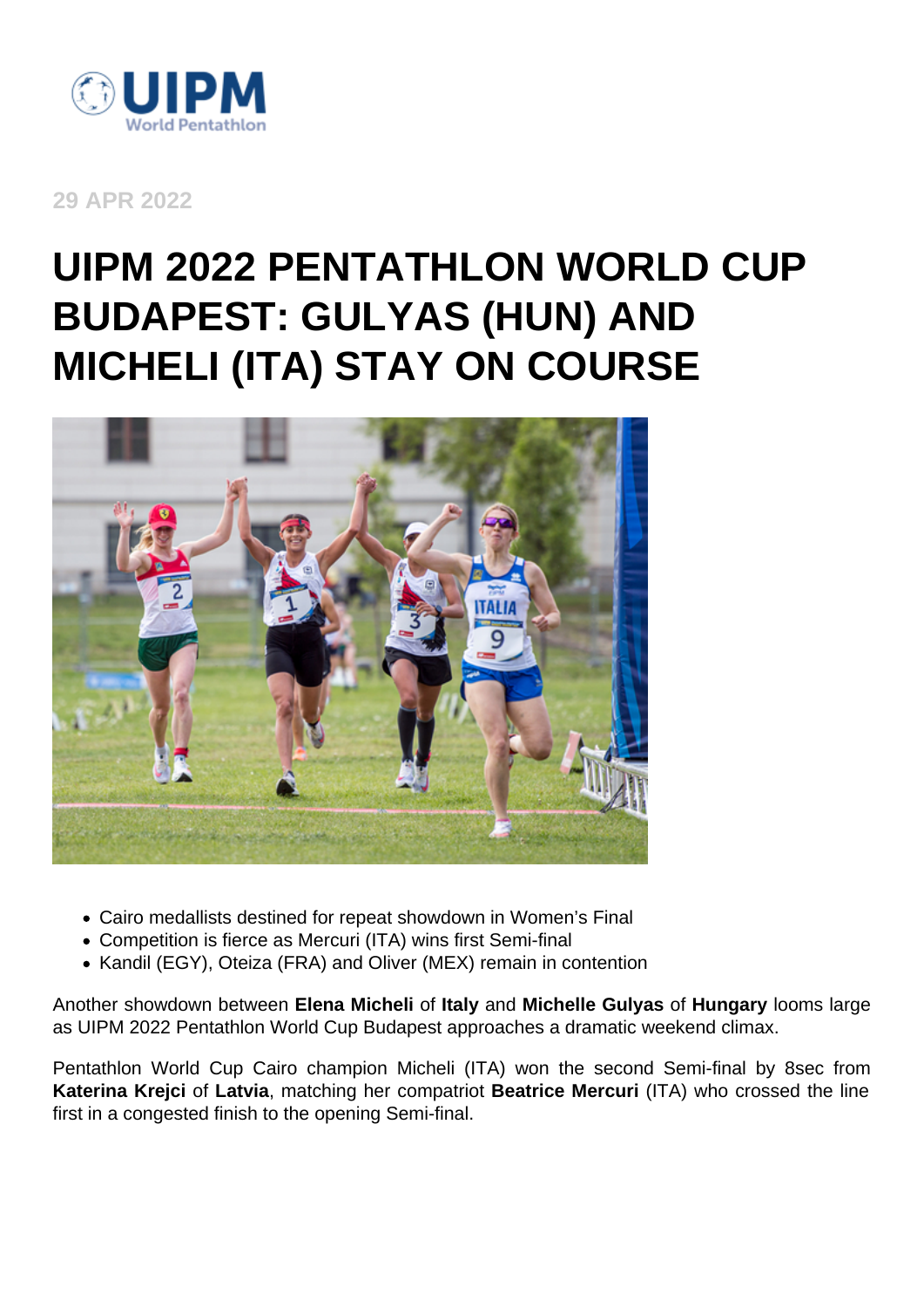

**29 APR 2022**

## **UIPM 2022 PENTATHLON WORLD CUP BUDAPEST: GULYAS (HUN) AND MICHELI (ITA) STAY ON COURSE**



- Cairo medallists destined for repeat showdown in Women's Final
- Competition is fierce as Mercuri (ITA) wins first Semi-final
- Kandil (EGY), Oteiza (FRA) and Oliver (MEX) remain in contention

Another showdown between **Elena Micheli** of **Italy** and **Michelle Gulyas** of **Hungary** looms large as UIPM 2022 Pentathlon World Cup Budapest approaches a dramatic weekend climax.

Pentathlon World Cup Cairo champion Micheli (ITA) won the second Semi-final by 8sec from **Katerina Krejci** of **Latvia**, matching her compatriot **Beatrice Mercuri** (ITA) who crossed the line first in a congested finish to the opening Semi-final.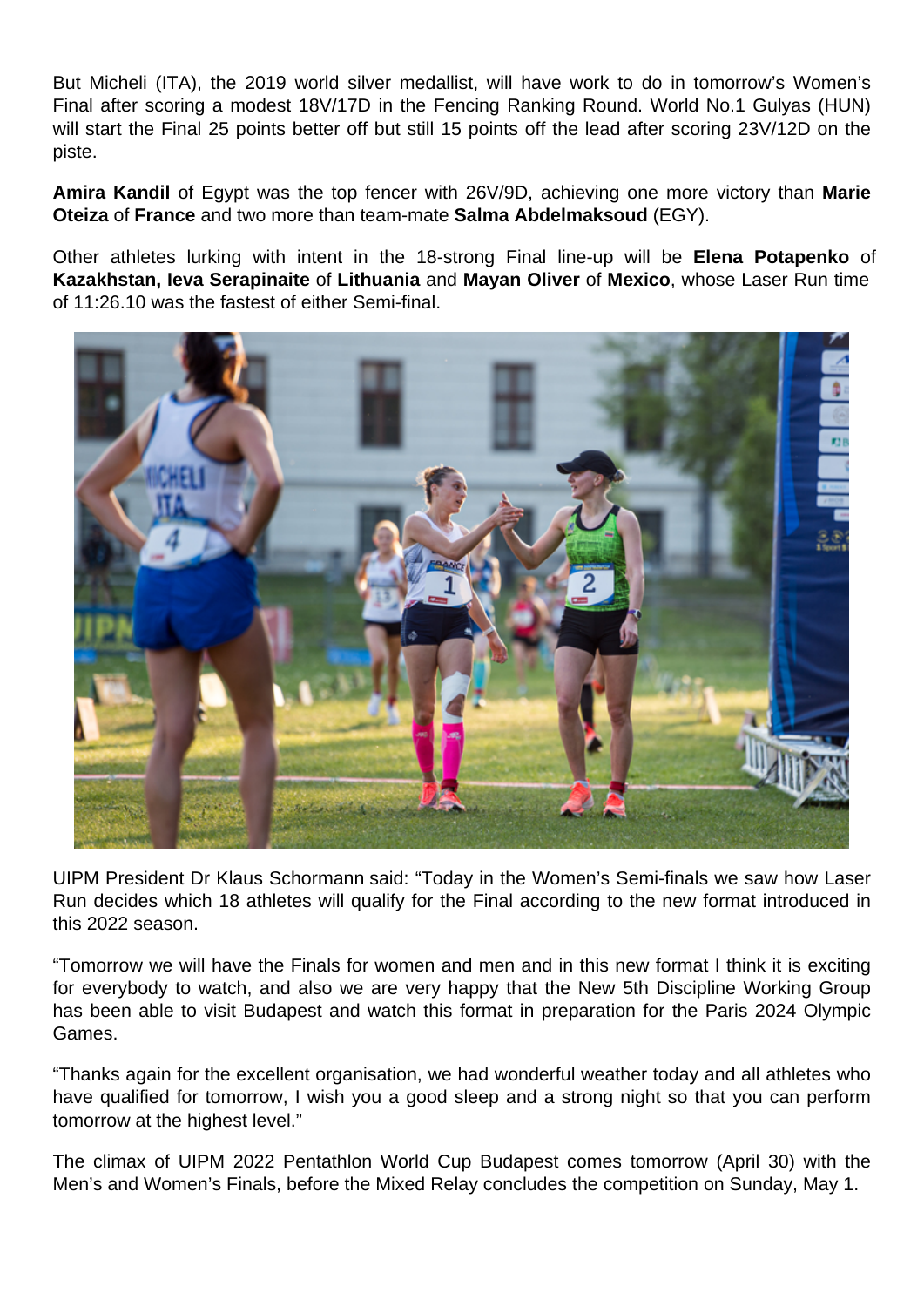But Micheli (ITA), the 2019 world silver medallist, will have work to do in tomorrow's Women's Final after scoring a modest 18V/17D in the Fencing Ranking Round. World No.1 Gulyas (HUN) will start the Final 25 points better off but still 15 points off the lead after scoring 23V/12D on the piste.

**Amira Kandil** of Egypt was the top fencer with 26V/9D, achieving one more victory than **Marie Oteiza** of **France** and two more than team-mate **Salma Abdelmaksoud** (EGY).

Other athletes lurking with intent in the 18-strong Final line-up will be **Elena Potapenko** of **Kazakhstan, Ieva Serapinaite** of **Lithuania** and **Mayan Oliver** of **Mexico**, whose Laser Run time of 11:26.10 was the fastest of either Semi-final.



UIPM President Dr Klaus Schormann said: "Today in the Women's Semi-finals we saw how Laser Run decides which 18 athletes will qualify for the Final according to the new format introduced in this 2022 season.

"Tomorrow we will have the Finals for women and men and in this new format I think it is exciting for everybody to watch, and also we are very happy that the New 5th Discipline Working Group has been able to visit Budapest and watch this format in preparation for the Paris 2024 Olympic Games.

"Thanks again for the excellent organisation, we had wonderful weather today and all athletes who have qualified for tomorrow, I wish you a good sleep and a strong night so that you can perform tomorrow at the highest level."

The climax of UIPM 2022 Pentathlon World Cup Budapest comes tomorrow (April 30) with the Men's and Women's Finals, before the Mixed Relay concludes the competition on Sunday, May 1.